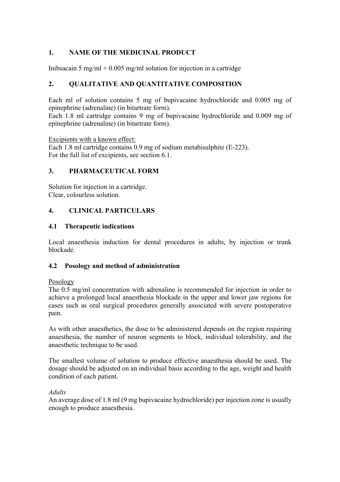# **1. NAME OF THE MEDICINAL PRODUCT**

Inibsacain 5 mg/ml + 0.005 mg/ml solution for injection in a cartridge

# **2. QUALITATIVE AND QUANTITATIVE COMPOSITION**

Each ml of solution contains 5 mg of bupivacaine hydrochloride and 0.005 mg of epinephrine (adrenaline) (in bitartrate form).

Each 1.8 ml cartridge contains 9 mg of bupivacaine hydrochloride and 0.009 mg of epinephrine (adrenaline) (in bitartrate form).

Excipients with a known effect:

Each 1.8 ml cartridge contains 0.9 mg of sodium metabisulphite (E-223). For the full list of excipients, see section 6.1.

#### **3. PHARMACEUTICAL FORM**

Solution for injection in a cartridge. Clear, colourless solution.

### **4. CLINICAL PARTICULARS**

#### **4.1 Therapeutic indications**

Local anaesthesia induction for dental procedures in adults, by injection or trunk blockade.

#### **4.2 Posology and method of administration**

#### Posology

The 0.5 mg/ml concentration with adrenaline is recommended for injection in order to achieve a prolonged local anaesthesia blockade in the upper and lower jaw regions for cases such as oral surgical procedures generally associated with severe postoperative pain.

As with other anaesthetics, the dose to be administered depends on the region requiring anaesthesia, the number of neuron segments to block, individual tolerability, and the anaesthetic technique to be used.

The smallest volume of solution to produce effective anaesthesia should be used. The dosage should be adjusted on an individual basis according to the age, weight and health condition of each patient.

#### *Adults*

An average dose of 1.8 ml (9 mg bupivacaine hydrochloride) per injection zone is usually enough to produce anaesthesia.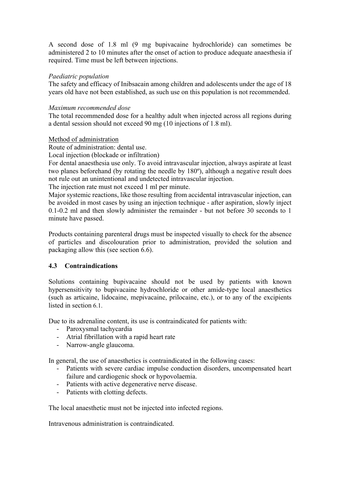A second dose of 1.8 ml (9 mg bupivacaine hydrochloride) can sometimes be administered 2 to 10 minutes after the onset of action to produce adequate anaesthesia if required. Time must be left between injections.

# *Paediatric population*

The safety and efficacy of Inibsacain among children and adolescents under the age of 18 years old have not been established, as such use on this population is not recommended.

#### *Maximum recommended dose*

The total recommended dose for a healthy adult when injected across all regions during a dental session should not exceed 90 mg (10 injections of 1.8 ml).

### Method of administration

Route of administration: dental use.

Local injection (blockade or infiltration)

For dental anaesthesia use only. To avoid intravascular injection, always aspirate at least two planes beforehand (by rotating the needle by 180º), although a negative result does not rule out an unintentional and undetected intravascular injection.

The injection rate must not exceed 1 ml per minute.

Major systemic reactions, like those resulting from accidental intravascular injection, can be avoided in most cases by using an injection technique - after aspiration, slowly inject 0.1-0.2 ml and then slowly administer the remainder - but not before 30 seconds to 1 minute have passed.

Products containing parenteral drugs must be inspected visually to check for the absence of particles and discolouration prior to administration, provided the solution and packaging allow this (see section 6.6).

# **4.3 Contraindications**

Solutions containing bupivacaine should not be used by patients with known hypersensitivity to bupivacaine hydrochloride or other amide-type local anaesthetics (such as articaine, lidocaine, mepivacaine, prilocaine, etc.), or to any of the excipients listed in section 6.1.

Due to its adrenaline content, its use is contraindicated for patients with:

- Paroxysmal tachycardia
- Atrial fibrillation with a rapid heart rate
- Narrow-angle glaucoma.

In general, the use of anaesthetics is contraindicated in the following cases:

- Patients with severe cardiac impulse conduction disorders, uncompensated heart failure and cardiogenic shock or hypovolaemia.
- Patients with active degenerative nerve disease.
- Patients with clotting defects.

The local anaesthetic must not be injected into infected regions.

Intravenous administration is contraindicated.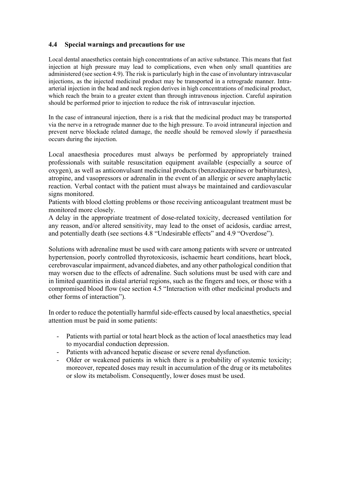# **4.4 Special warnings and precautions for use**

Local dental anaesthetics contain high concentrations of an active substance. This means that fast injection at high pressure may lead to complications, even when only small quantities are administered (see section 4.9). The risk is particularly high in the case of involuntary intravascular injections, as the injected medicinal product may be transported in a retrograde manner. Intraarterial injection in the head and neck region derives in high concentrations of medicinal product, which reach the brain to a greater extent than through intravenous injection. Careful aspiration should be performed prior to injection to reduce the risk of intravascular injection.

In the case of intraneural injection, there is a risk that the medicinal product may be transported via the nerve in a retrograde manner due to the high pressure. To avoid intraneural injection and prevent nerve blockade related damage, the needle should be removed slowly if paraesthesia occurs during the injection.

Local anaesthesia procedures must always be performed by appropriately trained professionals with suitable resuscitation equipment available (especially a source of oxygen), as well as anticonvulsant medicinal products (benzodiazepines or barbiturates), atropine, and vasopressors or adrenalin in the event of an allergic or severe anaphylactic reaction. Verbal contact with the patient must always be maintained and cardiovascular signs monitored.

Patients with blood clotting problems or those receiving anticoagulant treatment must be monitored more closely.

A delay in the appropriate treatment of dose-related toxicity, decreased ventilation for any reason, and/or altered sensitivity, may lead to the onset of acidosis, cardiac arrest, and potentially death (see sections 4.8 "Undesirable effects" and 4.9 "Overdose").

Solutions with adrenaline must be used with care among patients with severe or untreated hypertension, poorly controlled thyrotoxicosis, ischaemic heart conditions, heart block, cerebrovascular impairment, advanced diabetes, and any other pathological condition that may worsen due to the effects of adrenaline. Such solutions must be used with care and in limited quantities in distal arterial regions, such as the fingers and toes, or those with a compromised blood flow (see section 4.5 "Interaction with other medicinal products and other forms of interaction").

In order to reduce the potentially harmful side-effects caused by local anaesthetics, special attention must be paid in some patients:

- Patients with partial or total heart block as the action of local anaesthetics may lead to myocardial conduction depression.
- Patients with advanced hepatic disease or severe renal dysfunction.
- Older or weakened patients in which there is a probability of systemic toxicity; moreover, repeated doses may result in accumulation of the drug or its metabolites or slow its metabolism. Consequently, lower doses must be used.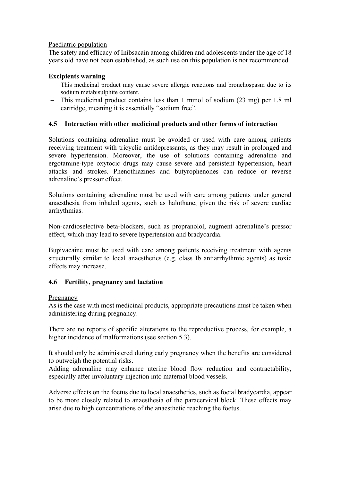### Paediatric population

The safety and efficacy of Inibsacain among children and adolescents under the age of 18 years old have not been established, as such use on this population is not recommended.

### **Excipients warning**

- This medicinal product may cause severe allergic reactions and bronchospasm due to its sodium metabisulphite content.
- This medicinal product contains less than 1 mmol of sodium (23 mg) per 1.8 ml cartridge, meaning it is essentially "sodium free".

# **4.5 Interaction with other medicinal products and other forms of interaction**

Solutions containing adrenaline must be avoided or used with care among patients receiving treatment with tricyclic antidepressants, as they may result in prolonged and severe hypertension. Moreover, the use of solutions containing adrenaline and ergotamine-type oxytocic drugs may cause severe and persistent hypertension, heart attacks and strokes. Phenothiazines and butyrophenones can reduce or reverse adrenaline's pressor effect.

Solutions containing adrenaline must be used with care among patients under general anaesthesia from inhaled agents, such as halothane, given the risk of severe cardiac arrhythmias.

Non-cardioselective beta-blockers, such as propranolol, augment adrenaline's pressor effect, which may lead to severe hypertension and bradycardia.

Bupivacaine must be used with care among patients receiving treatment with agents structurally similar to local anaesthetics (e.g. class Ib antiarrhythmic agents) as toxic effects may increase.

# **4.6 Fertility, pregnancy and lactation**

#### Pregnancy

As is the case with most medicinal products, appropriate precautions must be taken when administering during pregnancy.

There are no reports of specific alterations to the reproductive process, for example, a higher incidence of malformations (see section 5.3).

It should only be administered during early pregnancy when the benefits are considered to outweigh the potential risks.

Adding adrenaline may enhance uterine blood flow reduction and contractability, especially after involuntary injection into maternal blood vessels.

Adverse effects on the foetus due to local anaesthetics, such as foetal bradycardia, appear to be more closely related to anaesthesia of the paracervical block. These effects may arise due to high concentrations of the anaesthetic reaching the foetus.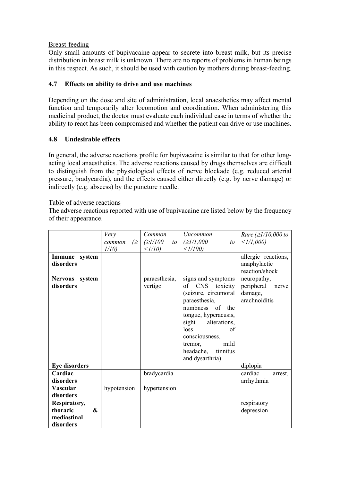# Breast-feeding

Only small amounts of bupivacaine appear to secrete into breast milk, but its precise distribution in breast milk is unknown. There are no reports of problems in human beings in this respect. As such, it should be used with caution by mothers during breast-feeding.

# **4.7 Effects on ability to drive and use machines**

Depending on the dose and site of administration, local anaesthetics may affect mental function and temporarily alter locomotion and coordination. When administering this medicinal product, the doctor must evaluate each individual case in terms of whether the ability to react has been compromised and whether the patient can drive or use machines.

# **4.8 Undesirable effects**

In general, the adverse reactions profile for bupivacaine is similar to that for other longacting local anaesthetics. The adverse reactions caused by drugs themselves are difficult to distinguish from the physiological effects of nerve blockade (e.g. reduced arterial pressure, bradycardia), and the effects caused either directly (e.g. by nerve damage) or indirectly (e.g. abscess) by the puncture needle.

### Table of adverse reactions

The adverse reactions reported with use of bupivacaine are listed below by the frequency of their appearance.

|                                                              | Very                | Common                     | <i>Uncommon</i>                                                                                                                                                                                                                                | <i>Rare</i> ( $\geq$ <i>l</i> /10,000 to                       |
|--------------------------------------------------------------|---------------------|----------------------------|------------------------------------------------------------------------------------------------------------------------------------------------------------------------------------------------------------------------------------------------|----------------------------------------------------------------|
|                                                              | common<br>$\approx$ | $\geq$ <i>l</i> /100<br>to | (≥1/1,000<br>to                                                                                                                                                                                                                                | $\langle 1/1,000 \rangle$                                      |
|                                                              | 1/10                | $\langle 1/10 \rangle$     | $\langle 1/100 \rangle$                                                                                                                                                                                                                        |                                                                |
| Immune system<br>disorders                                   |                     |                            |                                                                                                                                                                                                                                                | allergic reactions,<br>anaphylactic<br>reaction/shock          |
| Nervous system<br>disorders                                  |                     | paraesthesia,<br>vertigo   | signs and symptoms<br>CNS toxicity<br>of<br>(seizure, circumoral<br>paraesthesia,<br>numbness of the<br>tongue, hyperacusis,<br>sight alterations,<br>loss<br>of<br>consciousness,<br>mild<br>tremor,<br>headache, tinnitus<br>and dysarthria) | neuropathy,<br>peripheral<br>nerve<br>damage,<br>arachnoiditis |
| <b>Eye disorders</b>                                         |                     |                            |                                                                                                                                                                                                                                                | diplopia                                                       |
| Cardiac<br>disorders                                         |                     | bradycardia                |                                                                                                                                                                                                                                                | cardiac<br>arrest.<br>arrhythmia                               |
| <b>Vascular</b><br>disorders                                 | hypotension         | hypertension               |                                                                                                                                                                                                                                                |                                                                |
| Respiratory,<br>thoracic<br>$\boldsymbol{\&}$<br>mediastinal |                     |                            |                                                                                                                                                                                                                                                | respiratory<br>depression                                      |
| disorders                                                    |                     |                            |                                                                                                                                                                                                                                                |                                                                |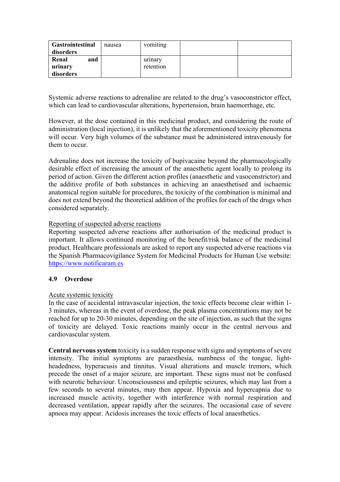| <b>Gastrointestinal</b> | nausea | vomiting  |  |
|-------------------------|--------|-----------|--|
| disorders               |        |           |  |
| Renal<br>and            |        | urinary   |  |
| urinary                 |        | retention |  |
| disorders               |        |           |  |

Systemic adverse reactions to adrenaline are related to the drug's vasoconstrictor effect, which can lead to cardiovascular alterations, hypertension, brain haemorrhage, etc.

However, at the dose contained in this medicinal product, and considering the route of administration (local injection), it is unlikely that the aforementioned toxicity phenomena will occur. Very high volumes of the substance must be administered intravenously for them to occur.

Adrenaline does not increase the toxicity of bupivacaine beyond the pharmacologically desirable effect of increasing the amount of the anaesthetic agent locally to prolong its period of action. Given the different action profiles (anaesthetic and vasoconstrictor) and the additive profile of both substances in achieving an anaesthetised and ischaemic anatomical region suitable for procedures, the toxicity of the combination is minimal and does not extend beyond the theoretical addition of the profiles for each of the drugs when considered separately.

#### Reporting of suspected adverse reactions

Reporting suspected adverse reactions after authorisation of the medicinal product is important. It allows continued monitoring of the benefit/risk balance of the medicinal product. Healthcare professionals are asked to report any suspected adverse reactions via the Spanish Pharmacovigilance System for Medicinal Products for Human Use website: https://www.notificaram.es

# **4.9 Overdose**

#### Acute systemic toxicity

In the case of accidental intravascular injection, the toxic effects become clear within 1- 3 minutes, whereas in the event of overdose, the peak plasma concentrations may not be reached for up to 20-30 minutes, depending on the site of injection, as such that the signs of toxicity are delayed. Toxic reactions mainly occur in the central nervous and cardiovascular system.

**Central nervous system** toxicity is a sudden response with signs and symptoms of severe intensity. The initial symptoms are paraesthesia, numbness of the tongue, lightheadedness, hyperacusis and tinnitus. Visual alterations and muscle tremors, which precede the onset of a major seizure, are important. These signs must not be confused with neurotic behaviour. Unconsciousness and epileptic seizures, which may last from a few seconds to several minutes, may then appear. Hypoxia and hypercapnia due to increased muscle activity, together with interference with normal respiration and decreased ventilation, appear rapidly after the seizures. The occasional case of severe apnoea may appear. Acidosis increases the toxic effects of local anaesthetics.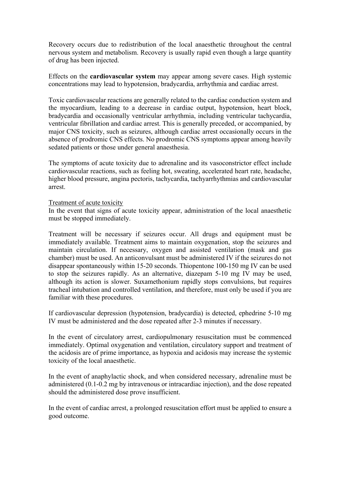Recovery occurs due to redistribution of the local anaesthetic throughout the central nervous system and metabolism. Recovery is usually rapid even though a large quantity of drug has been injected.

Effects on the **cardiovascular system** may appear among severe cases. High systemic concentrations may lead to hypotension, bradycardia, arrhythmia and cardiac arrest.

Toxic cardiovascular reactions are generally related to the cardiac conduction system and the myocardium, leading to a decrease in cardiac output, hypotension, heart block, bradycardia and occasionally ventricular arrhythmia, including ventricular tachycardia, ventricular fibrillation and cardiac arrest. This is generally preceded, or accompanied, by major CNS toxicity, such as seizures, although cardiac arrest occasionally occurs in the absence of prodromic CNS effects. No prodromic CNS symptoms appear among heavily sedated patients or those under general anaesthesia.

The symptoms of acute toxicity due to adrenaline and its vasoconstrictor effect include cardiovascular reactions, such as feeling hot, sweating, accelerated heart rate, headache, higher blood pressure, angina pectoris, tachycardia, tachyarrhythmias and cardiovascular arrest.

#### Treatment of acute toxicity

In the event that signs of acute toxicity appear, administration of the local anaesthetic must be stopped immediately.

Treatment will be necessary if seizures occur. All drugs and equipment must be immediately available. Treatment aims to maintain oxygenation, stop the seizures and maintain circulation. If necessary, oxygen and assisted ventilation (mask and gas chamber) must be used. An anticonvulsant must be administered IV if the seizures do not disappear spontaneously within 15-20 seconds. Thiopentone 100-150 mg IV can be used to stop the seizures rapidly. As an alternative, diazepam 5-10 mg IV may be used, although its action is slower. Suxamethonium rapidly stops convulsions, but requires tracheal intubation and controlled ventilation, and therefore, must only be used if you are familiar with these procedures.

If cardiovascular depression (hypotension, bradycardia) is detected, ephedrine 5-10 mg IV must be administered and the dose repeated after 2-3 minutes if necessary.

In the event of circulatory arrest, cardiopulmonary resuscitation must be commenced immediately. Optimal oxygenation and ventilation, circulatory support and treatment of the acidosis are of prime importance, as hypoxia and acidosis may increase the systemic toxicity of the local anaesthetic.

In the event of anaphylactic shock, and when considered necessary, adrenaline must be administered (0.1-0.2 mg by intravenous or intracardiac injection), and the dose repeated should the administered dose prove insufficient.

In the event of cardiac arrest, a prolonged resuscitation effort must be applied to ensure a good outcome.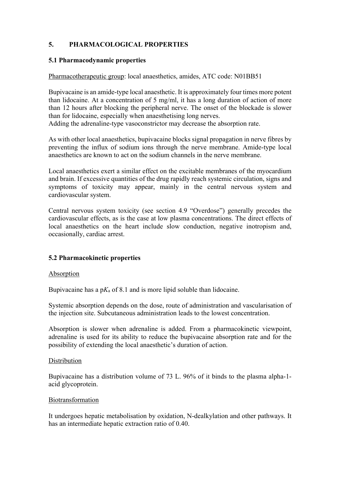# **5. PHARMACOLOGICAL PROPERTIES**

# **5.1 Pharmacodynamic properties**

#### Pharmacotherapeutic group: local anaesthetics, amides, ATC code: N01BB51

Bupivacaine is an amide-type local anaesthetic. It is approximately four times more potent than lidocaine. At a concentration of 5 mg/ml, it has a long duration of action of more than 12 hours after blocking the peripheral nerve. The onset of the blockade is slower than for lidocaine, especially when anaesthetising long nerves. Adding the adrenaline-type vasoconstrictor may decrease the absorption rate.

As with other local anaesthetics, bupivacaine blocks signal propagation in nerve fibres by preventing the influx of sodium ions through the nerve membrane. Amide-type local anaesthetics are known to act on the sodium channels in the nerve membrane.

Local anaesthetics exert a similar effect on the excitable membranes of the myocardium and brain. If excessive quantities of the drug rapidly reach systemic circulation, signs and symptoms of toxicity may appear, mainly in the central nervous system and cardiovascular system.

Central nervous system toxicity (see section 4.9 "Overdose") generally precedes the cardiovascular effects, as is the case at low plasma concentrations. The direct effects of local anaesthetics on the heart include slow conduction, negative inotropism and, occasionally, cardiac arrest.

# **5.2 Pharmacokinetic properties**

#### Absorption

Bupivacaine has a  $pK_a$  of 8.1 and is more lipid soluble than lidocaine.

Systemic absorption depends on the dose, route of administration and vascularisation of the injection site. Subcutaneous administration leads to the lowest concentration.

Absorption is slower when adrenaline is added. From a pharmacokinetic viewpoint, adrenaline is used for its ability to reduce the bupivacaine absorption rate and for the possibility of extending the local anaesthetic's duration of action.

#### Distribution

Bupivacaine has a distribution volume of 73 L. 96% of it binds to the plasma alpha-1 acid glycoprotein.

#### Biotransformation

It undergoes hepatic metabolisation by oxidation, N-dealkylation and other pathways. It has an intermediate hepatic extraction ratio of 0.40.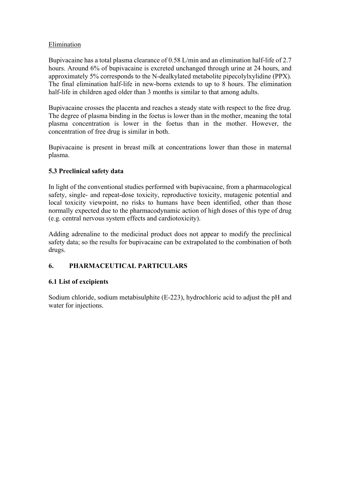# Elimination

Bupivacaine has a total plasma clearance of 0.58 L/min and an elimination half-life of 2.7 hours. Around 6% of bupivacaine is excreted unchanged through urine at 24 hours, and approximately 5% corresponds to the N-dealkylated metabolite pipecolylxylidine (PPX). The final elimination half-life in new-borns extends to up to 8 hours. The elimination half-life in children aged older than 3 months is similar to that among adults.

Bupivacaine crosses the placenta and reaches a steady state with respect to the free drug. The degree of plasma binding in the foetus is lower than in the mother, meaning the total plasma concentration is lower in the foetus than in the mother. However, the concentration of free drug is similar in both.

Bupivacaine is present in breast milk at concentrations lower than those in maternal plasma.

# **5.3 Preclinical safety data**

In light of the conventional studies performed with bupivacaine, from a pharmacological safety, single- and repeat-dose toxicity, reproductive toxicity, mutagenic potential and local toxicity viewpoint, no risks to humans have been identified, other than those normally expected due to the pharmacodynamic action of high doses of this type of drug (e.g. central nervous system effects and cardiotoxicity).

Adding adrenaline to the medicinal product does not appear to modify the preclinical safety data; so the results for bupivacaine can be extrapolated to the combination of both drugs.

# **6. PHARMACEUTICAL PARTICULARS**

# **6.1 List of excipients**

Sodium chloride, sodium metabisulphite (E-223), hydrochloric acid to adjust the pH and water for injections.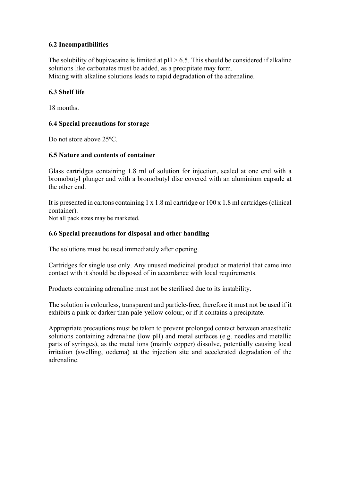# **6.2 Incompatibilities**

The solubility of bupivacaine is limited at  $pH > 6.5$ . This should be considered if alkaline solutions like carbonates must be added, as a precipitate may form. Mixing with alkaline solutions leads to rapid degradation of the adrenaline.

#### **6.3 Shelf life**

18 months.

### **6.4 Special precautions for storage**

Do not store above 25ºC.

### **6.5 Nature and contents of container**

Glass cartridges containing 1.8 ml of solution for injection, sealed at one end with a bromobutyl plunger and with a bromobutyl disc covered with an aluminium capsule at the other end.

It is presented in cartons containing 1 x 1.8 ml cartridge or 100 x 1.8 ml cartridges (clinical container).

Not all pack sizes may be marketed.

### **6.6 Special precautions for disposal and other handling**

The solutions must be used immediately after opening.

Cartridges for single use only. Any unused medicinal product or material that came into contact with it should be disposed of in accordance with local requirements.

Products containing adrenaline must not be sterilised due to its instability.

The solution is colourless, transparent and particle-free, therefore it must not be used if it exhibits a pink or darker than pale-yellow colour, or if it contains a precipitate.

Appropriate precautions must be taken to prevent prolonged contact between anaesthetic solutions containing adrenaline (low pH) and metal surfaces (e.g. needles and metallic parts of syringes), as the metal ions (mainly copper) dissolve, potentially causing local irritation (swelling, oedema) at the injection site and accelerated degradation of the adrenaline.